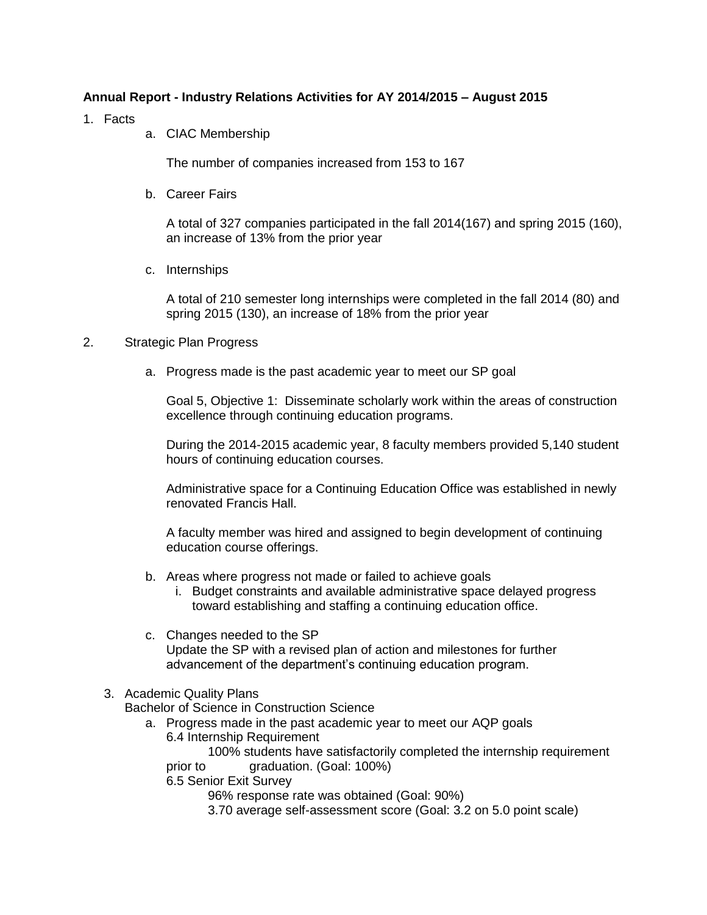## **Annual Report - Industry Relations Activities for AY 2014/2015 – August 2015**

- 1. Facts
- a. CIAC Membership

The number of companies increased from 153 to 167

b. Career Fairs

A total of 327 companies participated in the fall 2014(167) and spring 2015 (160), an increase of 13% from the prior year

c. Internships

A total of 210 semester long internships were completed in the fall 2014 (80) and spring 2015 (130), an increase of 18% from the prior year

## 2. Strategic Plan Progress

a. Progress made is the past academic year to meet our SP goal

Goal 5, Objective 1: Disseminate scholarly work within the areas of construction excellence through continuing education programs.

During the 2014-2015 academic year, 8 faculty members provided 5,140 student hours of continuing education courses.

Administrative space for a Continuing Education Office was established in newly renovated Francis Hall.

A faculty member was hired and assigned to begin development of continuing education course offerings.

- b. Areas where progress not made or failed to achieve goals
	- i. Budget constraints and available administrative space delayed progress toward establishing and staffing a continuing education office.
- c. Changes needed to the SP Update the SP with a revised plan of action and milestones for further advancement of the department's continuing education program.

## 3. Academic Quality Plans

Bachelor of Science in Construction Science

a. Progress made in the past academic year to meet our AQP goals 6.4 Internship Requirement

100% students have satisfactorily completed the internship requirement prior to graduation. (Goal: 100%)

6.5 Senior Exit Survey

96% response rate was obtained (Goal: 90%)

3.70 average self-assessment score (Goal: 3.2 on 5.0 point scale)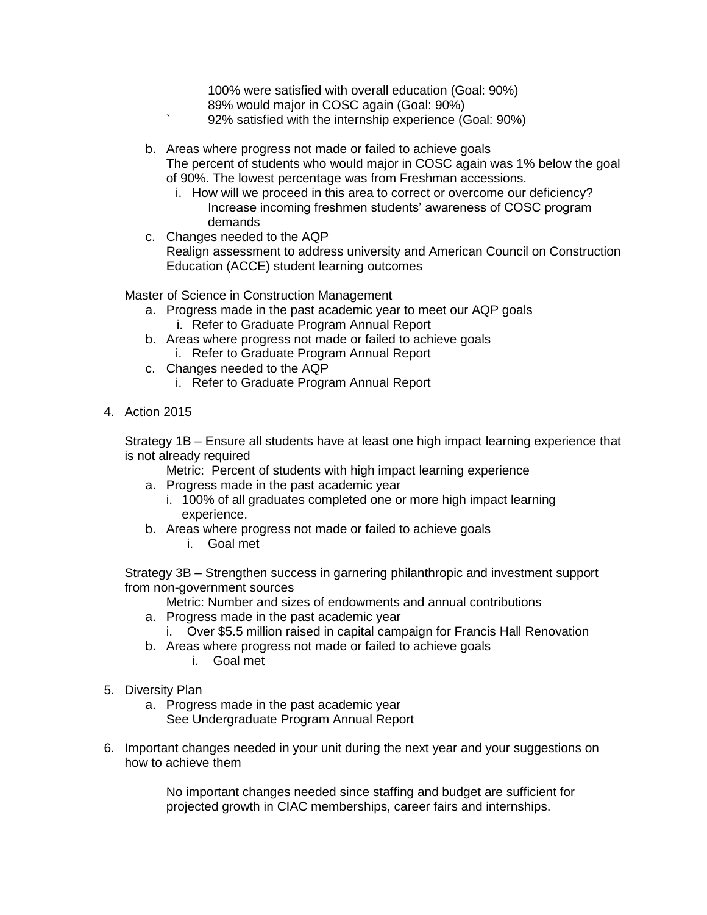100% were satisfied with overall education (Goal: 90%) 89% would major in COSC again (Goal: 90%) ` 92% satisfied with the internship experience (Goal: 90%)

b. Areas where progress not made or failed to achieve goals The percent of students who would major in COSC again was 1% below the goal of 90%. The lowest percentage was from Freshman accessions.

- i. How will we proceed in this area to correct or overcome our deficiency? Increase incoming freshmen students' awareness of COSC program demands
- c. Changes needed to the AQP Realign assessment to address university and American Council on Construction Education (ACCE) student learning outcomes

Master of Science in Construction Management

- a. Progress made in the past academic year to meet our AQP goals i. Refer to Graduate Program Annual Report
- b. Areas where progress not made or failed to achieve goals
	- i. Refer to Graduate Program Annual Report
- c. Changes needed to the AQP
	- i. Refer to Graduate Program Annual Report
- 4. Action 2015

Strategy 1B – Ensure all students have at least one high impact learning experience that is not already required

Metric: Percent of students with high impact learning experience

- a. Progress made in the past academic year
	- i. 100% of all graduates completed one or more high impact learning experience.
- b. Areas where progress not made or failed to achieve goals
	- i. Goal met

Strategy 3B – Strengthen success in garnering philanthropic and investment support from non-government sources

Metric: Number and sizes of endowments and annual contributions

- a. Progress made in the past academic year
	- i. Over \$5.5 million raised in capital campaign for Francis Hall Renovation
- b. Areas where progress not made or failed to achieve goals
	- i. Goal met
- 5. Diversity Plan
	- a. Progress made in the past academic year See Undergraduate Program Annual Report
- 6. Important changes needed in your unit during the next year and your suggestions on how to achieve them

No important changes needed since staffing and budget are sufficient for projected growth in CIAC memberships, career fairs and internships.